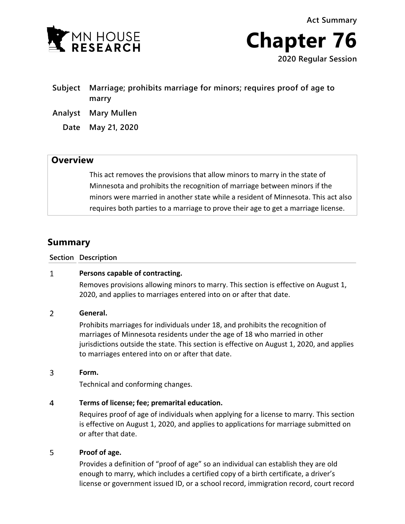

**Act Summary Chapter 76 2020 Regular Session**

- **Subject Marriage; prohibits marriage for minors; requires proof of age to marry**
- **Analyst Mary Mullen**
	- **Date May 21, 2020**

## **Overview**

This act removes the provisions that allow minors to marry in the state of Minnesota and prohibits the recognition of marriage between minors if the minors were married in another state while a resident of Minnesota. This act also requires both parties to a marriage to prove their age to get a marriage license.

# **Summary**

**Section Description**

#### $\mathbf{1}$ **Persons capable of contracting.**

Removes provisions allowing minors to marry. This section is effective on August 1, 2020, and applies to marriages entered into on or after that date.

#### $\overline{2}$ **General.**

Prohibits marriages for individuals under 18, and prohibits the recognition of marriages of Minnesota residents under the age of 18 who married in other jurisdictions outside the state. This section is effective on August 1, 2020, and applies to marriages entered into on or after that date.

#### 3 **Form.**

Technical and conforming changes.

#### $\overline{4}$ **Terms of license; fee; premarital education.**

Requires proof of age of individuals when applying for a license to marry. This section is effective on August 1, 2020, and applies to applications for marriage submitted on or after that date.

#### 5 **Proof of age.**

Provides a definition of "proof of age" so an individual can establish they are old enough to marry, which includes a certified copy of a birth certificate, a driver's license or government issued ID, or a school record, immigration record, court record